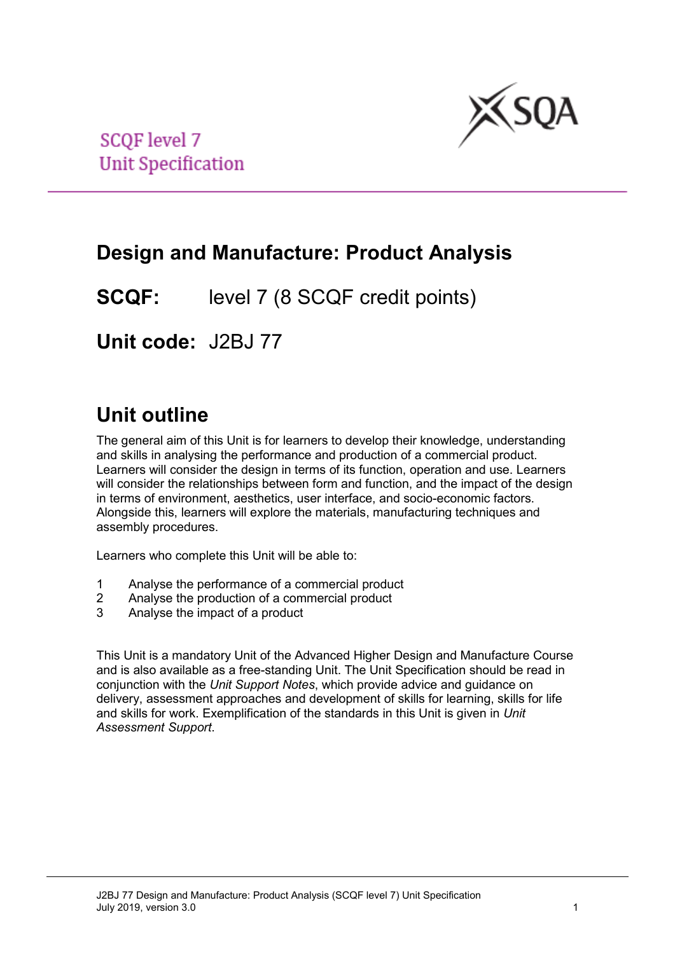

**SCQF** level 7 **Unit Specification** 

# **Design and Manufacture: Product Analysis**

**SCQF:** level 7 (8 SCQF credit points)

**Unit code:** J2BJ 77

# **Unit outline**

The general aim of this Unit is for learners to develop their knowledge, understanding and skills in analysing the performance and production of a commercial product. Learners will consider the design in terms of its function, operation and use. Learners will consider the relationships between form and function, and the impact of the design in terms of environment, aesthetics, user interface, and socio-economic factors. Alongside this, learners will explore the materials, manufacturing techniques and assembly procedures.

Learners who complete this Unit will be able to:

- 1 Analyse the performance of a commercial product
- 2 Analyse the production of a commercial product<br>3 Analyse the impact of a product
- Analyse the impact of a product

This Unit is a mandatory Unit of the Advanced Higher Design and Manufacture Course and is also available as a free-standing Unit. The Unit Specification should be read in conjunction with the *Unit Support Notes*, which provide advice and guidance on delivery, assessment approaches and development of skills for learning, skills for life and skills for work. Exemplification of the standards in this Unit is given in *Unit Assessment Support*.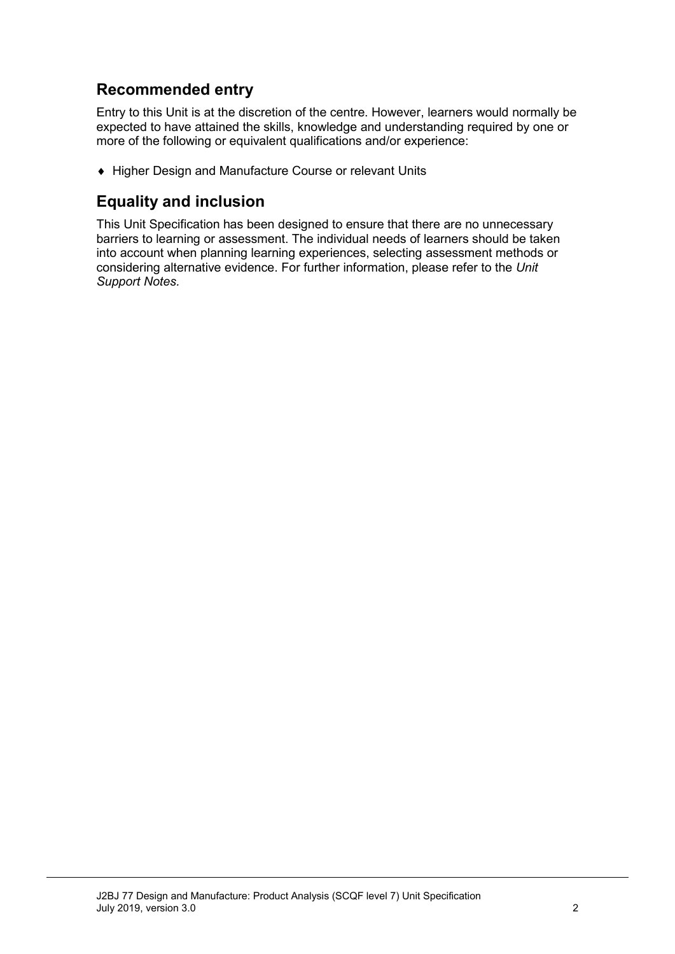## **Recommended entry**

Entry to this Unit is at the discretion of the centre. However, learners would normally be expected to have attained the skills, knowledge and understanding required by one or more of the following or equivalent qualifications and/or experience:

♦ Higher Design and Manufacture Course or relevant Units

### **Equality and inclusion**

This Unit Specification has been designed to ensure that there are no unnecessary barriers to learning or assessment. The individual needs of learners should be taken into account when planning learning experiences, selecting assessment methods or considering alternative evidence. For further information, please refer to the *Unit Support Notes.*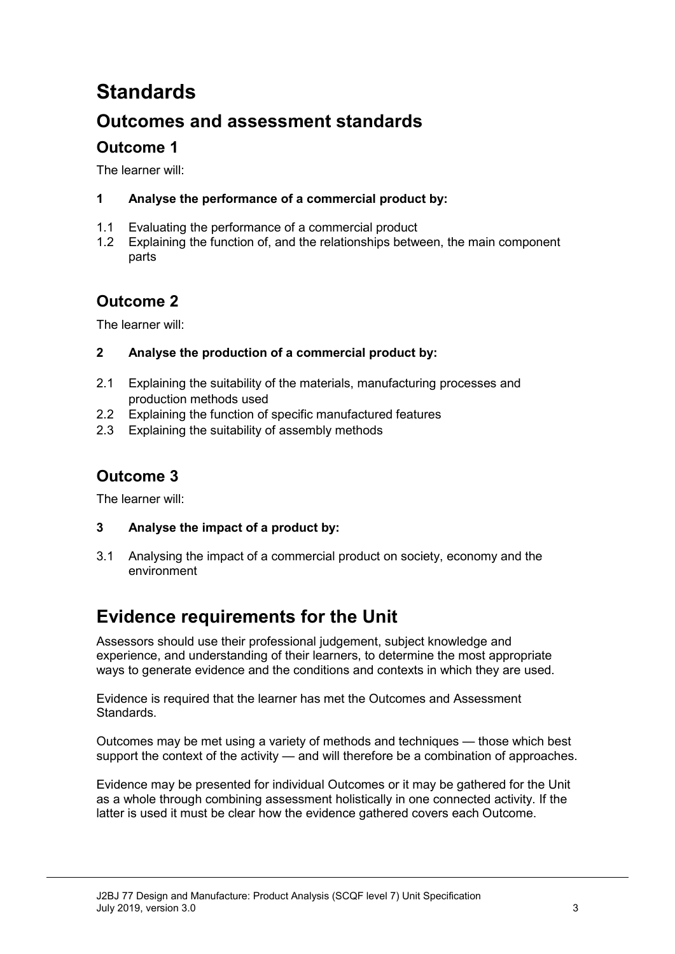# **Standards**

## **Outcomes and assessment standards**

### **Outcome 1**

The learner will:

#### **1 Analyse the performance of a commercial product by:**

- 1.1 Evaluating the performance of a commercial product
- 1.2 Explaining the function of, and the relationships between, the main component parts

## **Outcome 2**

The learner will:

#### **2 Analyse the production of a commercial product by:**

- 2.1 Explaining the suitability of the materials, manufacturing processes and production methods used
- 2.2 Explaining the function of specific manufactured features
- 2.3 Explaining the suitability of assembly methods

## **Outcome 3**

The learner will:

- **3 Analyse the impact of a product by:**
- 3.1 Analysing the impact of a commercial product on society, economy and the environment

# **Evidence requirements for the Unit**

Assessors should use their professional judgement, subject knowledge and experience, and understanding of their learners, to determine the most appropriate ways to generate evidence and the conditions and contexts in which they are used.

Evidence is required that the learner has met the Outcomes and Assessment Standards.

Outcomes may be met using a variety of methods and techniques — those which best support the context of the activity — and will therefore be a combination of approaches.

Evidence may be presented for individual Outcomes or it may be gathered for the Unit as a whole through combining assessment holistically in one connected activity. If the latter is used it must be clear how the evidence gathered covers each Outcome.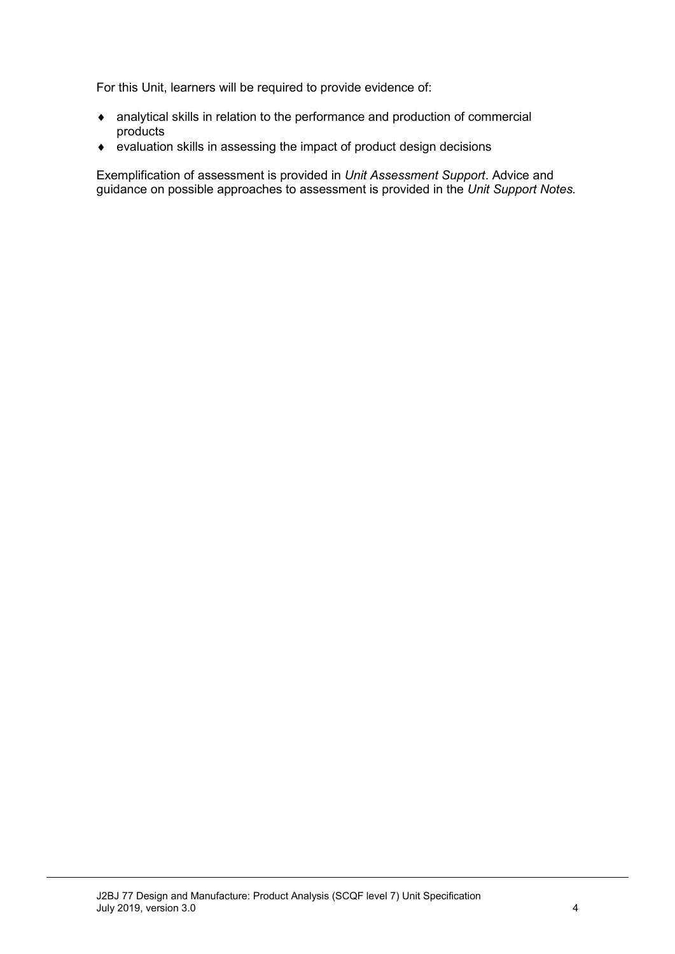For this Unit, learners will be required to provide evidence of:

- ♦ analytical skills in relation to the performance and production of commercial products
- ♦ evaluation skills in assessing the impact of product design decisions

Exemplification of assessment is provided in *Unit Assessment Support*. Advice and guidance on possible approaches to assessment is provided in the *Unit Support Notes.*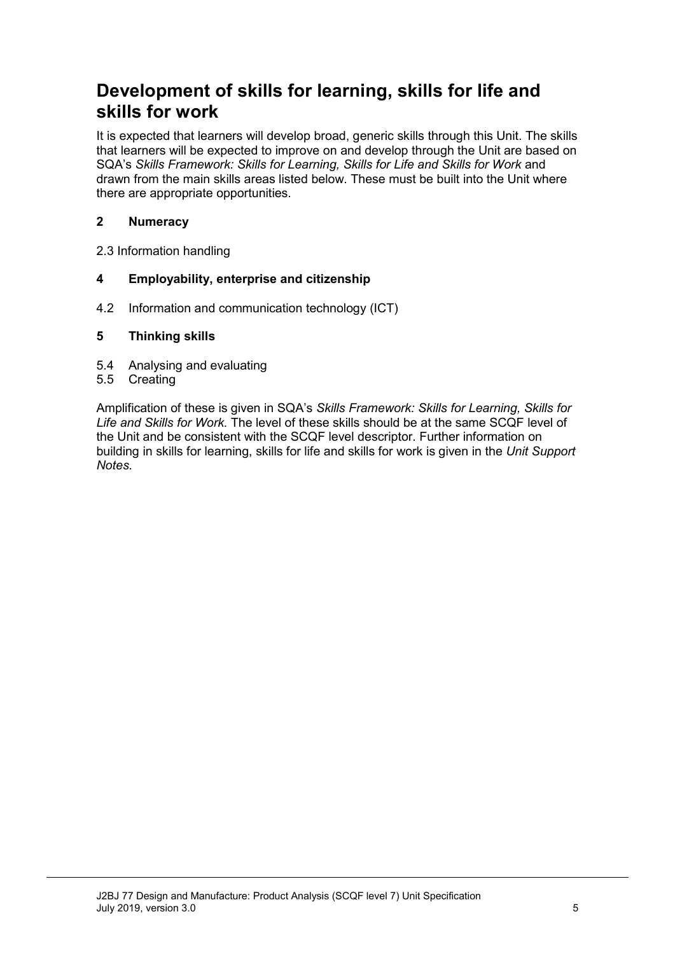# **Development of skills for learning, skills for life and skills for work**

It is expected that learners will develop broad, generic skills through this Unit. The skills that learners will be expected to improve on and develop through the Unit are based on SQA's *Skills Framework: Skills for Learning, Skills for Life and Skills for Work and* drawn from the main skills areas listed below. These must be built into the Unit where there are appropriate opportunities.

#### **2 Numeracy**

2.3 Information handling

#### **4 Employability, enterprise and citizenship**

4.2 Information and communication technology (ICT)

#### **5 Thinking skills**

- 5.4 Analysing and evaluating
- 5.5 Creating

Amplification of these is given in SQA's *Skills Framework: Skills for Learning, Skills for Life and Skills for Work.* The level of these skills should be at the same SCQF level of the Unit and be consistent with the SCQF level descriptor. Further information on building in skills for learning, skills for life and skills for work is given in the *Unit Support Notes.*